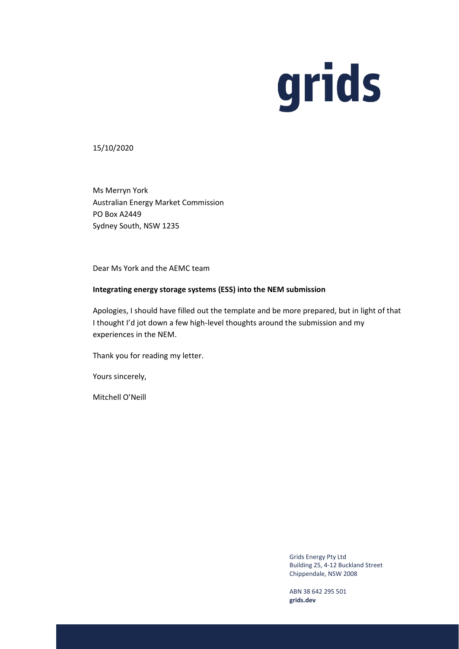## grids

## 15/10/2020

Ms Merryn York Australian Energy Market Commission PO Box A2449 Sydney South, NSW 1235

Dear Ms York and the AEMC team

## **Integrating energy storage systems (ESS) into the NEM submission**

Apologies, I should have filled out the template and be more prepared, but in light of that I thought I'd jot down a few high-level thoughts around the submission and my experiences in the NEM.

Thank you for reading my letter.

Yours sincerely,

Mitchell O'Neill

Grids Energy Pty Ltd Building 25, 4-12 Buckland Street Chippendale, NSW 2008

ABN 38 642 295 501 **grids.dev**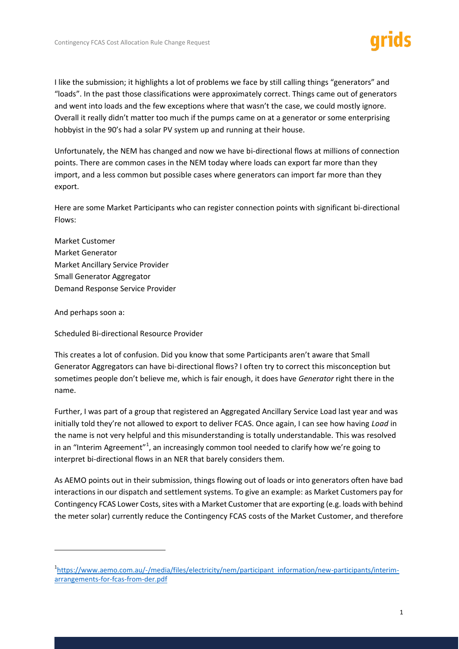I like the submission; it highlights a lot of problems we face by still calling things "generators" and "loads". In the past those classifications were approximately correct. Things came out of generators and went into loads and the few exceptions where that wasn't the case, we could mostly ignore. Overall it really didn't matter too much if the pumps came on at a generator or some enterprising hobbyist in the 90's had a solar PV system up and running at their house.

Unfortunately, the NEM has changed and now we have bi-directional flows at millions of connection points. There are common cases in the NEM today where loads can export far more than they import, and a less common but possible cases where generators can import far more than they export.

Here are some Market Participants who can register connection points with significant bi-directional Flows:

Market Customer Market Generator Market Ancillary Service Provider Small Generator Aggregator Demand Response Service Provider

And perhaps soon a:

Scheduled Bi-directional Resource Provider

This creates a lot of confusion. Did you know that some Participants aren't aware that Small Generator Aggregators can have bi-directional flows? I often try to correct this misconception but sometimes people don't believe me, which is fair enough, it does have *Generator* right there in the name.

Further, I was part of a group that registered an Aggregated Ancillary Service Load last year and was initially told they're not allowed to export to deliver FCAS. Once again, I can see how having *Load* in the name is not very helpful and this misunderstanding is totally understandable. This was resolved in an "Interim Agreement"<sup>1</sup>, an increasingly common tool needed to clarify how we're going to interpret bi-directional flows in an NER that barely considers them.

As AEMO points out in their submission, things flowing out of loads or into generators often have bad interactions in our dispatch and settlement systems. To give an example: as Market Customers pay for Contingency FCAS Lower Costs, sites with a Market Customer that are exporting (e.g. loads with behind the meter solar) currently reduce the Contingency FCAS costs of the Market Customer, and therefore

<sup>&</sup>lt;sup>1</sup>[https://www.aemo.com.au/-/media/files/electricity/nem/participant\\_information/new-participants/interim](https://www.aemo.com.au/-/media/files/electricity/nem/participant_information/new-participants/interim-arrangements-for-fcas-from-der.pdf)[arrangements-for-fcas-from-der.pdf](https://www.aemo.com.au/-/media/files/electricity/nem/participant_information/new-participants/interim-arrangements-for-fcas-from-der.pdf)